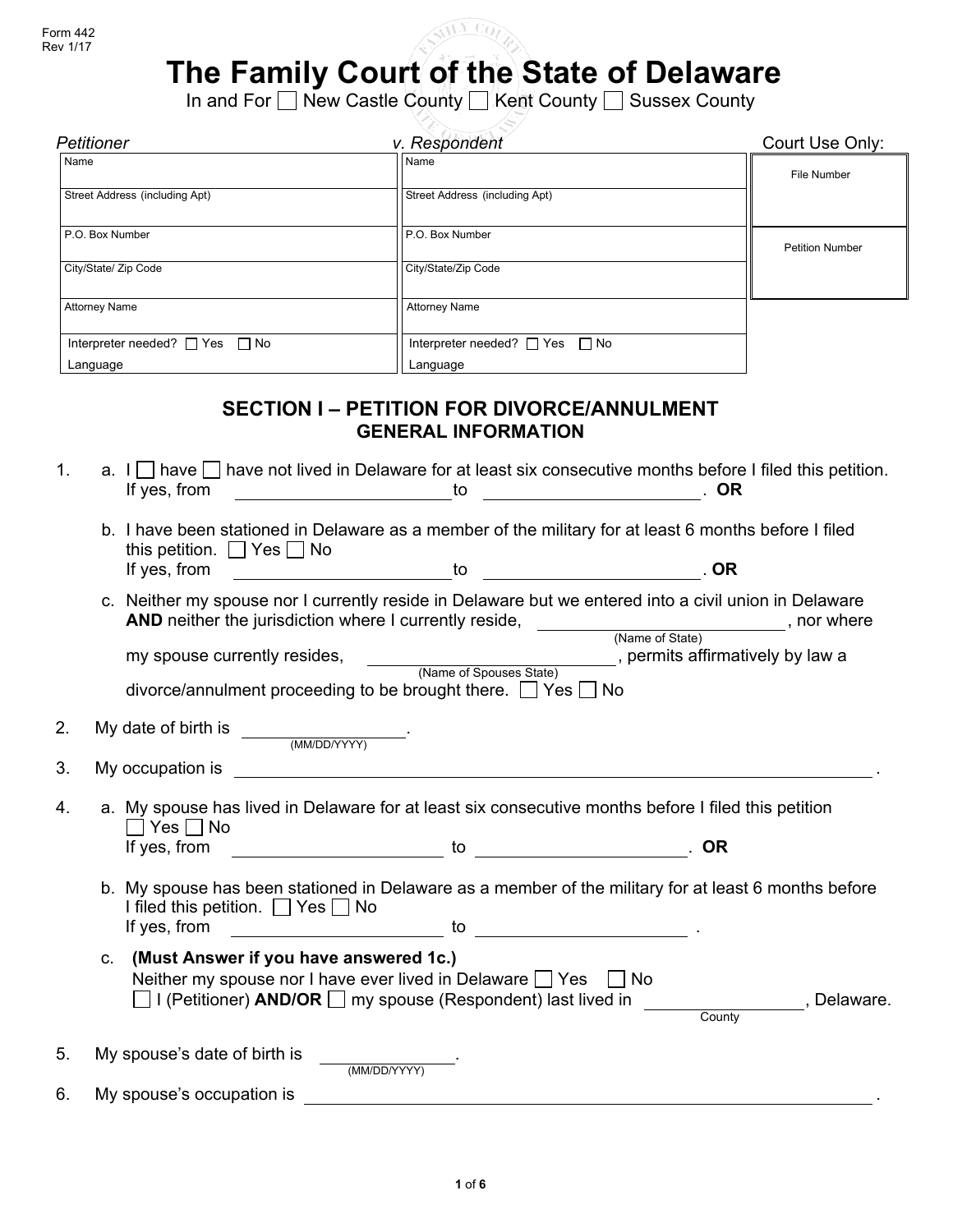

# **The Family Court of the State of Delaware**

In and For □ New Castle County □ Kent County □ Sussex County

| v. Respondent<br>Petitioner              |                                          | Court Use Only:        |
|------------------------------------------|------------------------------------------|------------------------|
| Name                                     | Name                                     | File Number            |
| Street Address (including Apt)           | Street Address (including Apt)           |                        |
| P.O. Box Number                          | P.O. Box Number                          | <b>Petition Number</b> |
| City/State/ Zip Code                     | City/State/Zip Code                      |                        |
| <b>Attorney Name</b>                     | <b>Attorney Name</b>                     |                        |
| Interpreter needed? $\Box$ Yes $\Box$ No | Interpreter needed? $\Box$ Yes $\Box$ No |                        |
| Language                                 | Language                                 |                        |

### **SECTION I – PETITION FOR DIVORCE/ANNULMENT GENERAL INFORMATION**

- 1. a.  $I \cap A$  have  $\cap$  have not lived in Delaware for at least six consecutive months before I filed this petition. If yes, from to . **OR**
	- b. I have been stationed in Delaware as a member of the military for at least 6 months before I filed this petition.  $\bigsqcup$  Yes  $\bigsqcup$  No If yes, from to . **OR**
	- c. Neither my spouse nor I currently reside in Delaware but we entered into a civil union in Delaware **AND** neither the jurisdiction where I currently reside, \_\_\_\_\_\_\_\_\_\_\_\_\_\_\_\_\_\_\_\_\_\_\_\_\_\_\_\_, nor where

(Name of State) my spouse currently resides, \_\_\_\_\_\_\_\_\_\_\_\_\_\_\_\_\_\_\_\_\_\_\_\_\_\_\_\_, permits affirmatively by law a (Name of Spouses State)

divorce/annulment proceeding to be brought there.  $\Box$  Yes  $\Box$  No 2. My date of birth is .

- (MM/DD/YYYY) 3. My occupation is .
- 4. a. My spouse has lived in Delaware for at least six consecutive months before I filed this petition  $\Box$  Yes  $\Box$  No If yes, from to <u>see the set of the set of the set of the set of the set of the set of the set of the set of the set of the set of the set of the set of the set of the set of the set of the set of the set of the set of the</u>
	- b. My spouse has been stationed in Delaware as a member of the military for at least 6 months before I filed this petition.  $\Box$  Yes  $\Box$  No If yes, from  $\overline{\phantom{a}}$  to  $\overline{\phantom{a}}$
	- c. **(Must Answer if you have answered 1c.)** Neither my spouse nor I have ever lived in Delaware  $\Box$  Yes  $\Box$  No **I** (Petitioner) **AND/OR I** my spouse (Respondent) last lived in , Delaware. **County**

| My spouse's date of birth is<br>5. | (MM/DD/YYYY) |  |
|------------------------------------|--------------|--|
| My spouse's occupation is          |              |  |

**1** of **6**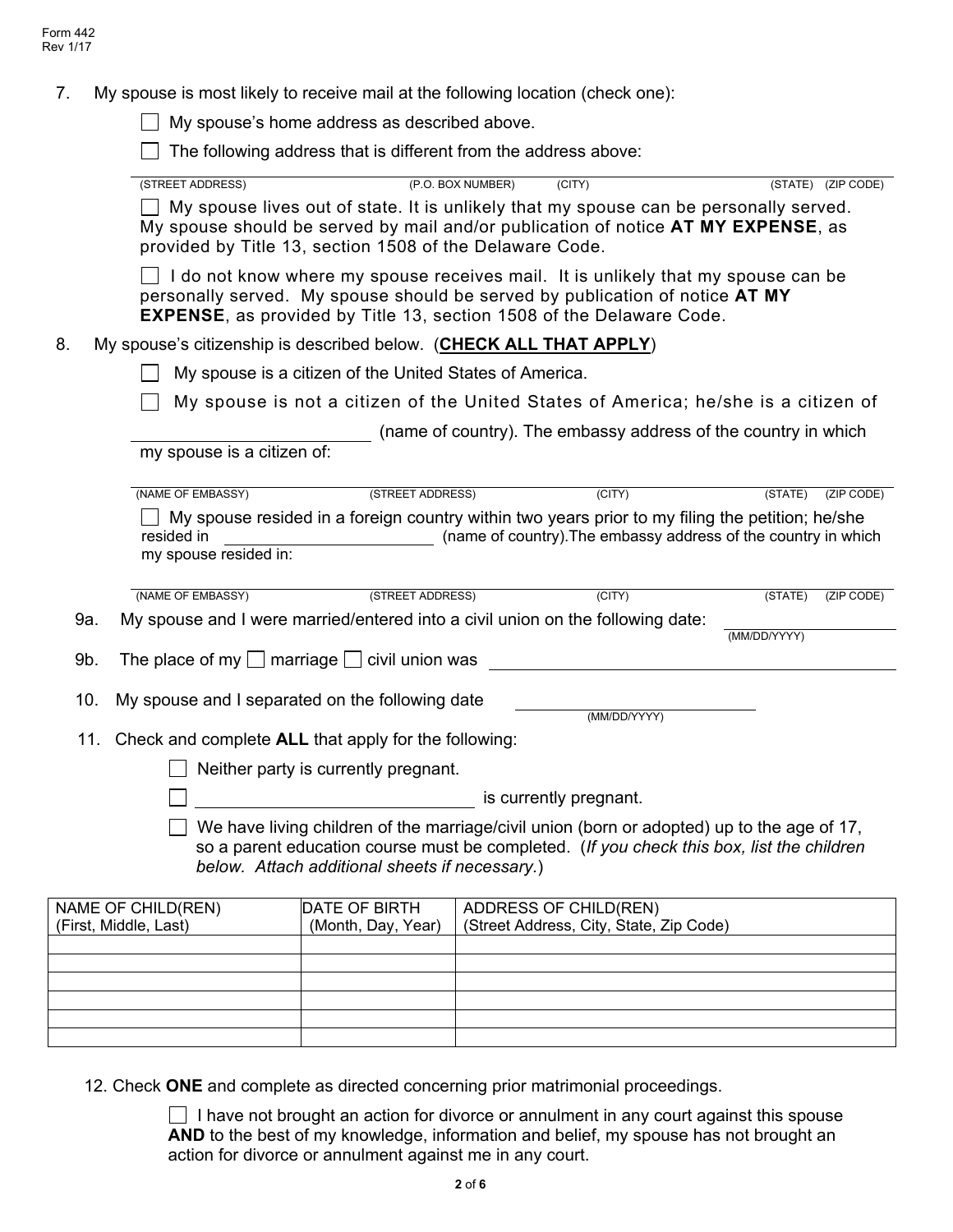7. My spouse is most likely to receive mail at the following location (check one):

My spouse's home address as described above.

 $\Box$  The following address that is different from the address above:

| (STREET ADDRESS)                                         |                                                          |                                                                                                                                                             | (STATE) (ZIP CODE)                                                                                                                                                         |
|----------------------------------------------------------|----------------------------------------------------------|-------------------------------------------------------------------------------------------------------------------------------------------------------------|----------------------------------------------------------------------------------------------------------------------------------------------------------------------------|
|                                                          |                                                          | (P.O. BOX NUMBER)<br>(CITY)                                                                                                                                 |                                                                                                                                                                            |
|                                                          | provided by Title 13, section 1508 of the Delaware Code. |                                                                                                                                                             | My spouse lives out of state. It is unlikely that my spouse can be personally served.<br>My spouse should be served by mail and/or publication of notice AT MY EXPENSE, as |
|                                                          |                                                          | personally served. My spouse should be served by publication of notice AT MY<br><b>EXPENSE, as provided by Title 13, section 1508 of the Delaware Code.</b> | I do not know where my spouse receives mail. It is unlikely that my spouse can be                                                                                          |
| 8.                                                       |                                                          | My spouse's citizenship is described below. (CHECK ALL THAT APPLY)                                                                                          |                                                                                                                                                                            |
|                                                          | My spouse is a citizen of the United States of America.  |                                                                                                                                                             |                                                                                                                                                                            |
|                                                          |                                                          |                                                                                                                                                             | My spouse is not a citizen of the United States of America; he/she is a citizen of                                                                                         |
|                                                          |                                                          |                                                                                                                                                             | (name of country). The embassy address of the country in which                                                                                                             |
| my spouse is a citizen of:                               |                                                          |                                                                                                                                                             |                                                                                                                                                                            |
| (NAME OF EMBASSY)                                        | (STREET ADDRESS)                                         | (CITY)                                                                                                                                                      | (STATE)<br>(ZIP CODE)                                                                                                                                                      |
|                                                          |                                                          |                                                                                                                                                             | My spouse resided in a foreign country within two years prior to my filing the petition; he/she                                                                            |
| resided in                                               |                                                          |                                                                                                                                                             |                                                                                                                                                                            |
|                                                          |                                                          |                                                                                                                                                             | (name of country). The embassy address of the country in which                                                                                                             |
| my spouse resided in:                                    |                                                          |                                                                                                                                                             |                                                                                                                                                                            |
| (NAME OF EMBASSY)                                        | (STREET ADDRESS)                                         | $\overline{(CITY)}$                                                                                                                                         | (STATE)<br>(ZIP CODE)                                                                                                                                                      |
| 9a.                                                      |                                                          | My spouse and I were married/entered into a civil union on the following date:                                                                              |                                                                                                                                                                            |
|                                                          |                                                          |                                                                                                                                                             | (MM/DD/YYYY)                                                                                                                                                               |
| 9b.                                                      | The place of my $\Box$ marriage $\Box$ civil union was   |                                                                                                                                                             |                                                                                                                                                                            |
|                                                          |                                                          |                                                                                                                                                             |                                                                                                                                                                            |
| 10.                                                      | My spouse and I separated on the following date          | (MM/DD/YYYY)                                                                                                                                                |                                                                                                                                                                            |
| 11. Check and complete ALL that apply for the following: |                                                          |                                                                                                                                                             |                                                                                                                                                                            |
|                                                          |                                                          |                                                                                                                                                             |                                                                                                                                                                            |
|                                                          | Neither party is currently pregnant.                     |                                                                                                                                                             |                                                                                                                                                                            |
|                                                          |                                                          | is currently pregnant.                                                                                                                                      |                                                                                                                                                                            |
|                                                          |                                                          |                                                                                                                                                             | We have living children of the marriage/civil union (born or adopted) up to the age of 17,                                                                                 |
|                                                          |                                                          |                                                                                                                                                             | so a parent education course must be completed. (If you check this box, list the children                                                                                  |
|                                                          | below. Attach additional sheets if necessary.)           |                                                                                                                                                             |                                                                                                                                                                            |
| NAME OF CHILD(REN)                                       | DATE OF BIRTH                                            | <b>ADDRESS OF CHILD(REN)</b>                                                                                                                                |                                                                                                                                                                            |
| (First, Middle, Last)                                    | (Month, Day, Year)                                       | (Street Address, City, State, Zip Code)                                                                                                                     |                                                                                                                                                                            |
|                                                          |                                                          |                                                                                                                                                             |                                                                                                                                                                            |
|                                                          |                                                          |                                                                                                                                                             |                                                                                                                                                                            |

12. Check **ONE** and complete as directed concerning prior matrimonial proceedings.

 $\Box$  I have not brought an action for divorce or annulment in any court against this spouse AND to the best of my knowledge, information and belief, my spouse has not brought an action for divorce or annulment against me in any court.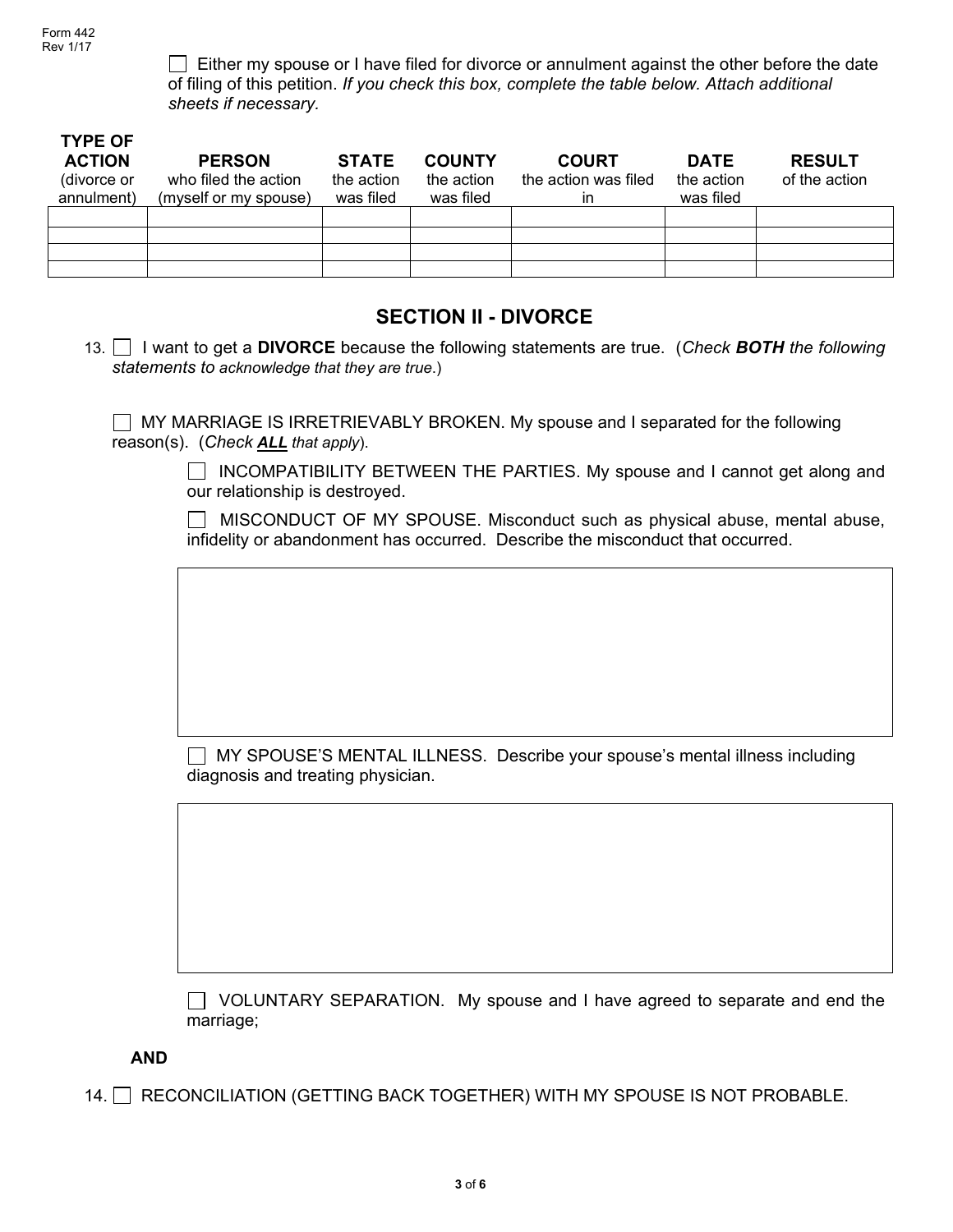$\Box$  Either my spouse or I have filed for divorce or annulment against the other before the date of filing of this petition. *If you check this box, complete the table below. Attach additional sheets if necessary.*

| <b>TYPE OF</b><br><b>ACTION</b><br>(divorce or<br>annulment) | <b>PERSON</b><br>who filed the action<br>(myself or my spouse) | <b>STATE</b><br>the action<br>was filed | <b>COUNTY</b><br>the action<br>was filed | <b>COURT</b><br>the action was filed<br>in | <b>DATE</b><br>the action<br>was filed | <b>RESULT</b><br>of the action |
|--------------------------------------------------------------|----------------------------------------------------------------|-----------------------------------------|------------------------------------------|--------------------------------------------|----------------------------------------|--------------------------------|
|                                                              |                                                                |                                         |                                          |                                            |                                        |                                |
|                                                              |                                                                |                                         |                                          |                                            |                                        |                                |
|                                                              |                                                                |                                         |                                          |                                            |                                        |                                |
|                                                              |                                                                |                                         |                                          |                                            |                                        |                                |

## **SECTION II - DIVORCE**

13. I want to get a **DIVORCE** because the following statements are true. (*Check BOTH the following statements to acknowledge that they are true*.)

MY MARRIAGE IS IRRETRIEVABLY BROKEN. My spouse and I separated for the following reason(s). (*Check ALL that apply*).

> INCOMPATIBILITY BETWEEN THE PARTIES. My spouse and I cannot get along and our relationship is destroyed.

> MISCONDUCT OF MY SPOUSE. Misconduct such as physical abuse, mental abuse, infidelity or abandonment has occurred. Describe the misconduct that occurred.

 MY SPOUSE'S MENTAL ILLNESS. Describe your spouse's mental illness including diagnosis and treating physician.

 VOLUNTARY SEPARATION. My spouse and I have agreed to separate and end the marriage;

**AND** 

14. RECONCILIATION (GETTING BACK TOGETHER) WITH MY SPOUSE IS NOT PROBABLE.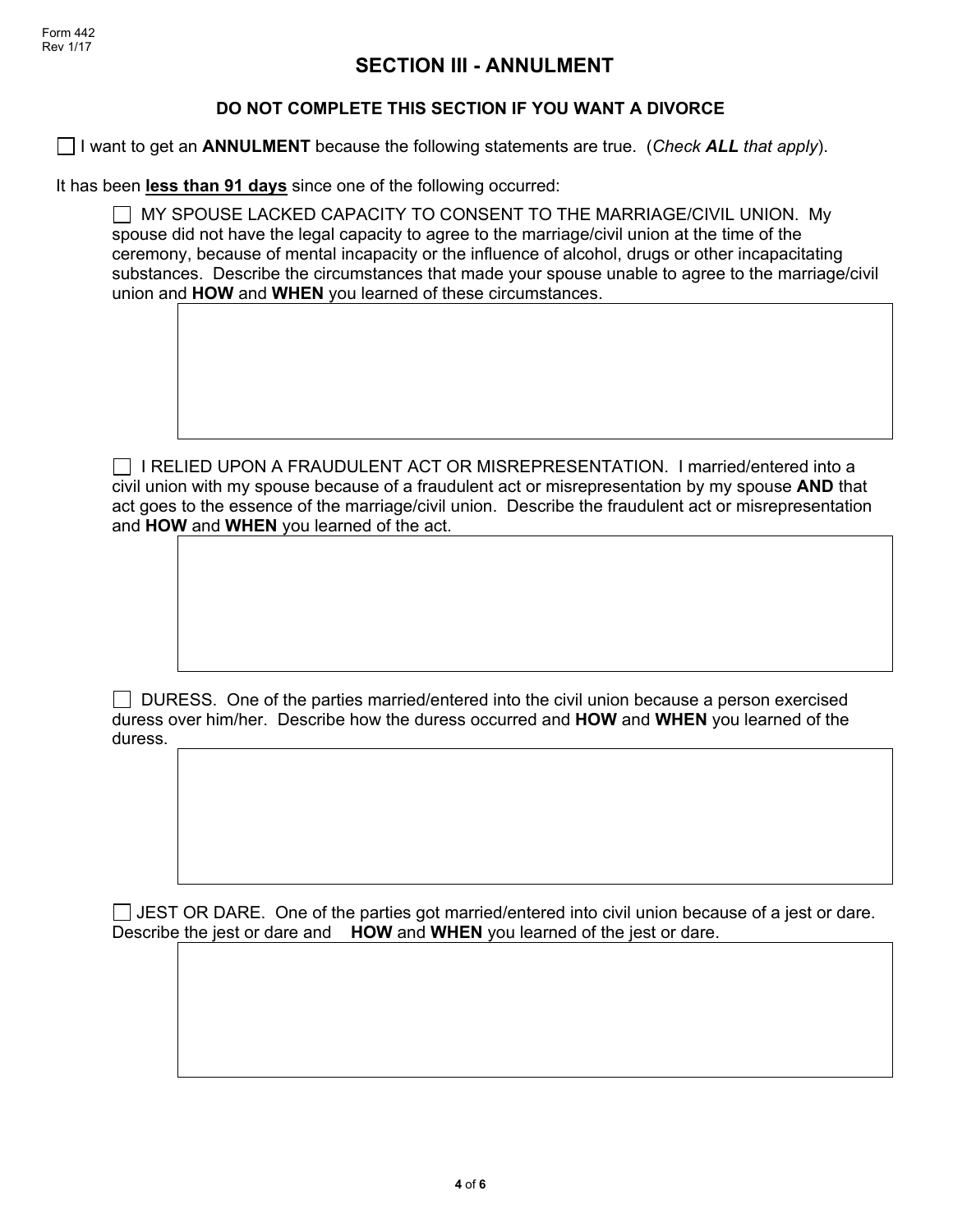## **SECTION III - ANNULMENT**

#### **DO NOT COMPLETE THIS SECTION IF YOU WANT A DIVORCE**

I want to get an **ANNULMENT** because the following statements are true. (*Check ALL that apply*).

It has been **less than 91 days** since one of the following occurred:

 MY SPOUSE LACKED CAPACITY TO CONSENT TO THE MARRIAGE/CIVIL UNION. My spouse did not have the legal capacity to agree to the marriage/civil union at the time of the ceremony, because of mental incapacity or the influence of alcohol, drugs or other incapacitating substances. Describe the circumstances that made your spouse unable to agree to the marriage/civil union and **HOW** and **WHEN** you learned of these circumstances.

 $\Box$  I RELIED UPON A FRAUDULENT ACT OR MISREPRESENTATION. I married/entered into a civil union with my spouse because of a fraudulent act or misrepresentation by my spouse **AND** that act goes to the essence of the marriage/civil union. Describe the fraudulent act or misrepresentation and **HOW** and **WHEN** you learned of the act.

 DURESS. One of the parties married/entered into the civil union because a person exercised duress over him/her. Describe how the duress occurred and **HOW** and **WHEN** you learned of the duress.

 $\Box$  JEST OR DARE. One of the parties got married/entered into civil union because of a jest or dare. Describe the jest or dare and **HOW** and **WHEN** you learned of the jest or dare.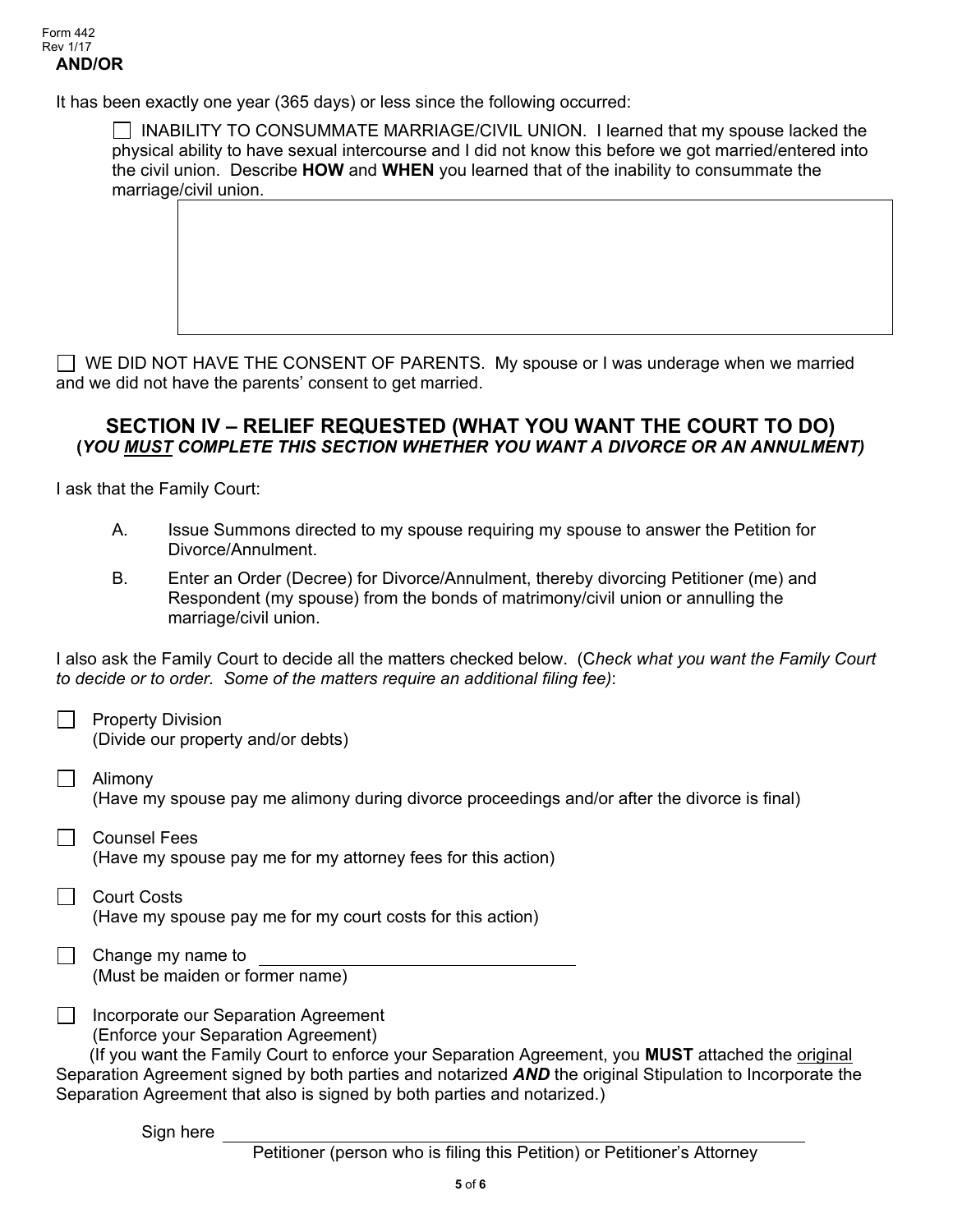It has been exactly one year (365 days) or less since the following occurred:

 $\Box$  INABILITY TO CONSUMMATE MARRIAGE/CIVIL UNION. I learned that my spouse lacked the physical ability to have sexual intercourse and I did not know this before we got married/entered into the civil union. Describe **HOW** and **WHEN** you learned that of the inability to consummate the marriage/civil union.

 $\Box$  WE DID NOT HAVE THE CONSENT OF PARENTS. My spouse or I was underage when we married and we did not have the parents' consent to get married.

#### **SECTION IV – RELIEF REQUESTED (WHAT YOU WANT THE COURT TO DO) (***YOU MUST COMPLETE THIS SECTION WHETHER YOU WANT A DIVORCE OR AN ANNULMENT)*

I ask that the Family Court:

- A. Issue Summons directed to my spouse requiring my spouse to answer the Petition for Divorce/Annulment.
- B. Enter an Order (Decree) for Divorce/Annulment, thereby divorcing Petitioner (me) and Respondent (my spouse) from the bonds of matrimony/civil union or annulling the marriage/civil union.

I also ask the Family Court to decide all the matters checked below. (C*heck what you want the Family Court to decide or to order. Some of the matters require an additional filing fee)*:

- Property Division (Divide our property and/or debts)
- Alimony (Have my spouse pay me alimony during divorce proceedings and/or after the divorce is final)
- Counsel Fees (Have my spouse pay me for my attorney fees for this action)
- $\Box$  Court Costs (Have my spouse pay me for my court costs for this action)
- | Change my name to (Must be maiden or former name)
- $\perp$ Incorporate our Separation Agreement (Enforce your Separation Agreement)

 (If you want the Family Court to enforce your Separation Agreement, you **MUST** attached the original Separation Agreement signed by both parties and notarized *AND* the original Stipulation to Incorporate the Separation Agreement that also is signed by both parties and notarized.)

Sign here